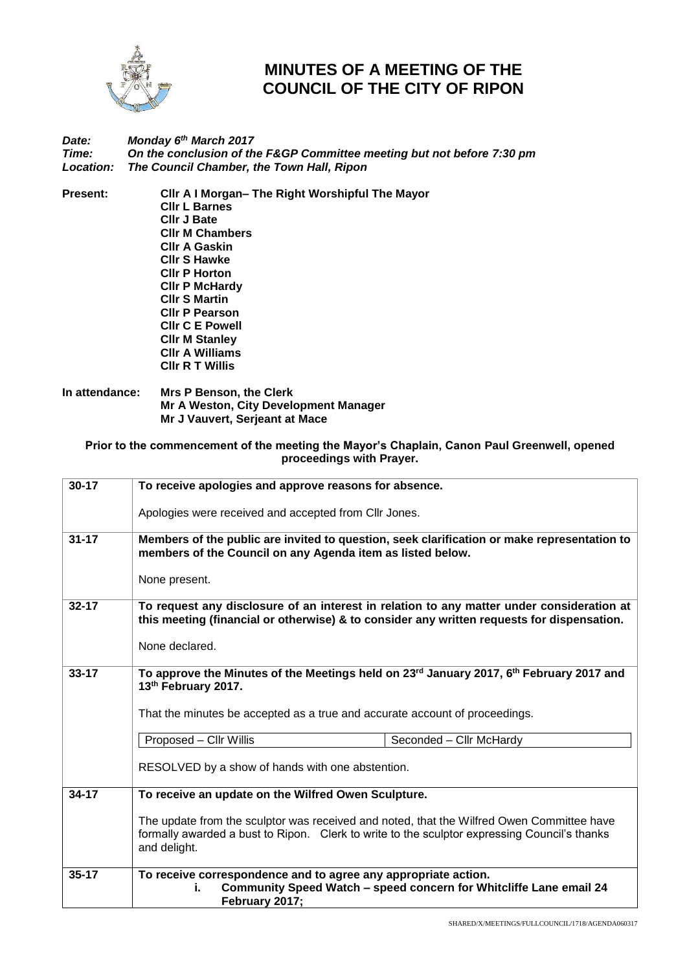

## **MINUTES OF A MEETING OF THE COUNCIL OF THE CITY OF RIPON**

## *Date: Monday 6 th March 2017 Time: On the conclusion of the F&GP Committee meeting but not before 7:30 pm Location: The Council Chamber, the Town Hall, Ripon*

**Present: Cllr A I Morgan– The Right Worshipful The Mayor Cllr L Barnes Cllr J Bate Cllr M Chambers Cllr A Gaskin Cllr S Hawke Cllr P Horton Cllr P McHardy Cllr S Martin Cllr P Pearson Cllr C E Powell Cllr M Stanley Cllr A Williams Cllr R T Willis**

## **In attendance: Mrs P Benson, the Clerk Mr A Weston, City Development Manager Mr J Vauvert, Serjeant at Mace**

## **Prior to the commencement of the meeting the Mayor's Chaplain, Canon Paul Greenwell, opened proceedings with Prayer.**

| $30 - 17$ | To receive apologies and approve reasons for absence.                                                                                                                                                     |                         |  |
|-----------|-----------------------------------------------------------------------------------------------------------------------------------------------------------------------------------------------------------|-------------------------|--|
|           | Apologies were received and accepted from Cllr Jones.                                                                                                                                                     |                         |  |
| $31 - 17$ | Members of the public are invited to question, seek clarification or make representation to<br>members of the Council on any Agenda item as listed below.                                                 |                         |  |
|           | None present.                                                                                                                                                                                             |                         |  |
| $32 - 17$ | To request any disclosure of an interest in relation to any matter under consideration at<br>this meeting (financial or otherwise) & to consider any written requests for dispensation.                   |                         |  |
|           | None declared.                                                                                                                                                                                            |                         |  |
| $33 - 17$ | To approve the Minutes of the Meetings held on 23 <sup>rd</sup> January 2017, 6 <sup>th</sup> February 2017 and<br>13th February 2017.                                                                    |                         |  |
|           | That the minutes be accepted as a true and accurate account of proceedings.                                                                                                                               |                         |  |
|           | Proposed - Cllr Willis                                                                                                                                                                                    | Seconded - Cllr McHardy |  |
|           | RESOLVED by a show of hands with one abstention.                                                                                                                                                          |                         |  |
| $34 - 17$ | To receive an update on the Wilfred Owen Sculpture.                                                                                                                                                       |                         |  |
|           | The update from the sculptor was received and noted, that the Wilfred Owen Committee have<br>formally awarded a bust to Ripon. Clerk to write to the sculptor expressing Council's thanks<br>and delight. |                         |  |
| $35 - 17$ | To receive correspondence and to agree any appropriate action.<br>Community Speed Watch - speed concern for Whitcliffe Lane email 24<br>February 2017;                                                    |                         |  |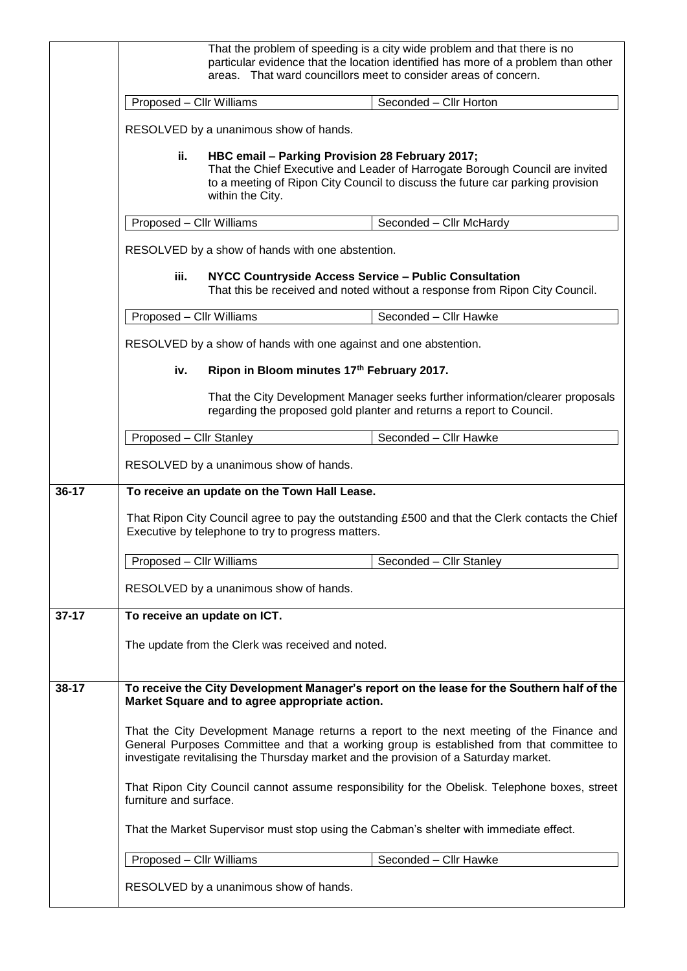|           | That the problem of speeding is a city wide problem and that there is no<br>particular evidence that the location identified has more of a problem than other<br>areas. That ward councillors meet to consider areas of concern.                                                                                                                                                                                                                                                                                                                         |                                                   |                                                                                                                                                       |
|-----------|----------------------------------------------------------------------------------------------------------------------------------------------------------------------------------------------------------------------------------------------------------------------------------------------------------------------------------------------------------------------------------------------------------------------------------------------------------------------------------------------------------------------------------------------------------|---------------------------------------------------|-------------------------------------------------------------------------------------------------------------------------------------------------------|
|           | Proposed - Cllr Williams                                                                                                                                                                                                                                                                                                                                                                                                                                                                                                                                 |                                                   | Seconded - Cllr Horton                                                                                                                                |
|           |                                                                                                                                                                                                                                                                                                                                                                                                                                                                                                                                                          | RESOLVED by a unanimous show of hands.            |                                                                                                                                                       |
|           | ii.<br>HBC email - Parking Provision 28 February 2017;<br>That the Chief Executive and Leader of Harrogate Borough Council are invited<br>to a meeting of Ripon City Council to discuss the future car parking provision<br>within the City.                                                                                                                                                                                                                                                                                                             |                                                   |                                                                                                                                                       |
|           | Proposed - Cllr Williams                                                                                                                                                                                                                                                                                                                                                                                                                                                                                                                                 |                                                   | Seconded - Cllr McHardy                                                                                                                               |
|           | RESOLVED by a show of hands with one abstention.<br>iii.<br><b>NYCC Countryside Access Service - Public Consultation</b><br>That this be received and noted without a response from Ripon City Council.                                                                                                                                                                                                                                                                                                                                                  |                                                   |                                                                                                                                                       |
|           |                                                                                                                                                                                                                                                                                                                                                                                                                                                                                                                                                          |                                                   |                                                                                                                                                       |
|           | Proposed - Cllr Williams                                                                                                                                                                                                                                                                                                                                                                                                                                                                                                                                 |                                                   | Seconded - Cllr Hawke                                                                                                                                 |
|           | RESOLVED by a show of hands with one against and one abstention.<br>Ripon in Bloom minutes 17th February 2017.<br>iv.                                                                                                                                                                                                                                                                                                                                                                                                                                    |                                                   |                                                                                                                                                       |
|           |                                                                                                                                                                                                                                                                                                                                                                                                                                                                                                                                                          |                                                   |                                                                                                                                                       |
|           |                                                                                                                                                                                                                                                                                                                                                                                                                                                                                                                                                          |                                                   | That the City Development Manager seeks further information/clearer proposals<br>regarding the proposed gold planter and returns a report to Council. |
|           | Proposed - Cllr Stanley                                                                                                                                                                                                                                                                                                                                                                                                                                                                                                                                  |                                                   | Seconded - Cllr Hawke                                                                                                                                 |
|           |                                                                                                                                                                                                                                                                                                                                                                                                                                                                                                                                                          | RESOLVED by a unanimous show of hands.            |                                                                                                                                                       |
| $36 - 17$ |                                                                                                                                                                                                                                                                                                                                                                                                                                                                                                                                                          | To receive an update on the Town Hall Lease.      |                                                                                                                                                       |
|           | That Ripon City Council agree to pay the outstanding £500 and that the Clerk contacts the Chief<br>Executive by telephone to try to progress matters.                                                                                                                                                                                                                                                                                                                                                                                                    |                                                   |                                                                                                                                                       |
|           | Proposed - Cllr Williams                                                                                                                                                                                                                                                                                                                                                                                                                                                                                                                                 |                                                   | Seconded - Cllr Stanley                                                                                                                               |
|           |                                                                                                                                                                                                                                                                                                                                                                                                                                                                                                                                                          | RESOLVED by a unanimous show of hands.            |                                                                                                                                                       |
| $37 - 17$ | To receive an update on ICT.                                                                                                                                                                                                                                                                                                                                                                                                                                                                                                                             |                                                   |                                                                                                                                                       |
|           |                                                                                                                                                                                                                                                                                                                                                                                                                                                                                                                                                          | The update from the Clerk was received and noted. |                                                                                                                                                       |
| 38-17     | To receive the City Development Manager's report on the lease for the Southern half of the<br>Market Square and to agree appropriate action.<br>That the City Development Manage returns a report to the next meeting of the Finance and<br>General Purposes Committee and that a working group is established from that committee to<br>investigate revitalising the Thursday market and the provision of a Saturday market.<br>That Ripon City Council cannot assume responsibility for the Obelisk. Telephone boxes, street<br>furniture and surface. |                                                   |                                                                                                                                                       |
|           |                                                                                                                                                                                                                                                                                                                                                                                                                                                                                                                                                          |                                                   |                                                                                                                                                       |
|           |                                                                                                                                                                                                                                                                                                                                                                                                                                                                                                                                                          |                                                   |                                                                                                                                                       |
|           | That the Market Supervisor must stop using the Cabman's shelter with immediate effect.                                                                                                                                                                                                                                                                                                                                                                                                                                                                   |                                                   |                                                                                                                                                       |
|           | Proposed - Cllr Williams                                                                                                                                                                                                                                                                                                                                                                                                                                                                                                                                 |                                                   | Seconded - Cllr Hawke                                                                                                                                 |
|           |                                                                                                                                                                                                                                                                                                                                                                                                                                                                                                                                                          | RESOLVED by a unanimous show of hands.            |                                                                                                                                                       |